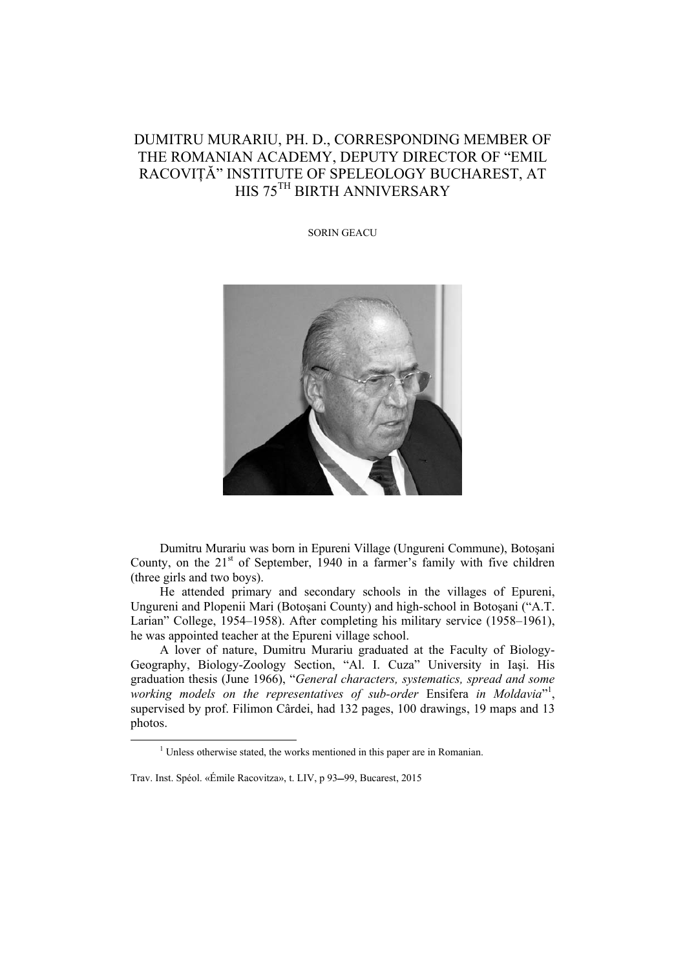## DUMITRU MURARIU, PH. D., CORRESPONDING MEMBER OF THE ROMANIAN ACADEMY, DEPUTY DIRECTOR OF "EMIL RACOVITĂ" INSTITUTE OF SPELEOLOGY BUCHAREST, AT HIS 75TH BIRTH ANNIVERSARY

SORIN GEACU



Dumitru Murariu was born in Epureni Village (Ungureni Commune), Botoşani County, on the  $21<sup>st</sup>$  of September, 1940 in a farmer's family with five children (three girls and two boys).

He attended primary and secondary schools in the villages of Epureni, Ungureni and Plopenii Mari (Botoşani County) and high-school in Botoşani ("A.T. Larian" College, 1954–1958). After completing his military service (1958–1961), he was appointed teacher at the Epureni village school.

A lover of nature, Dumitru Murariu graduated at the Faculty of Biology-Geography, Biology-Zoology Section, "Al. I. Cuza" University in Iaşi. His graduation thesis (June 1966), "*General characters, systematics, spread and some*  working models on the representatives of sub-order Ensifera in Moldavia"<sup>1</sup>, supervised by prof. Filimon Cârdei, had 132 pages, 100 drawings, 19 maps and 13 photos.

<sup>1&</sup>lt;sup>1</sup> <sup>1</sup> Unless otherwise stated, the works mentioned in this paper are in Romanian.

Trav. Inst. Spéol. «Émile Racovitza», t. LIV, p 93-99, Bucarest, 2015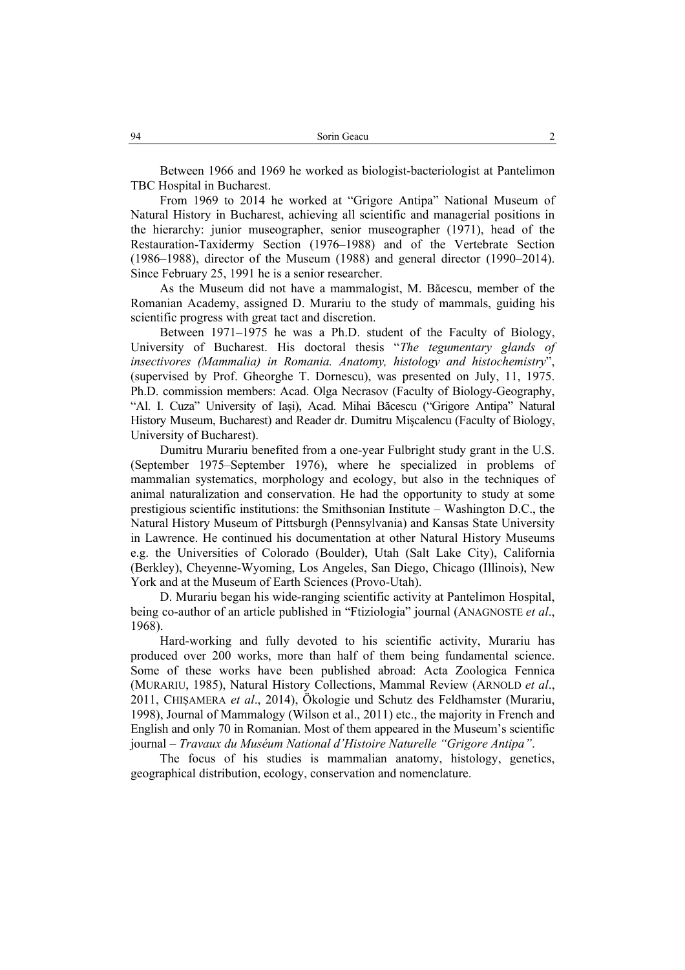Between 1966 and 1969 he worked as biologist-bacteriologist at Pantelimon TBC Hospital in Bucharest.

From 1969 to 2014 he worked at "Grigore Antipa" National Museum of Natural History in Bucharest, achieving all scientific and managerial positions in the hierarchy: junior museographer, senior museographer (1971), head of the Restauration-Taxidermy Section (1976–1988) and of the Vertebrate Section (1986–1988), director of the Museum (1988) and general director (1990–2014). Since February 25, 1991 he is a senior researcher.

As the Museum did not have a mammalogist, M. Băcescu, member of the Romanian Academy, assigned D. Murariu to the study of mammals, guiding his scientific progress with great tact and discretion.

Between 1971–1975 he was a Ph.D. student of the Faculty of Biology, University of Bucharest. His doctoral thesis "*The tegumentary glands of insectivores (Mammalia) in Romania. Anatomy, histology and histochemistry*", (supervised by Prof. Gheorghe T. Dornescu), was presented on July, 11, 1975. Ph.D. commission members: Acad. Olga Necrasov (Faculty of Biology-Geography, "Al. I. Cuza" University of Iaşi), Acad. Mihai Băcescu ("Grigore Antipa" Natural History Museum, Bucharest) and Reader dr. Dumitru Mişcalencu (Faculty of Biology, University of Bucharest).

Dumitru Murariu benefited from a one-year Fulbright study grant in the U.S. (September 1975–September 1976), where he specialized in problems of mammalian systematics, morphology and ecology, but also in the techniques of animal naturalization and conservation. He had the opportunity to study at some prestigious scientific institutions: the Smithsonian Institute – Washington D.C., the Natural History Museum of Pittsburgh (Pennsylvania) and Kansas State University in Lawrence. He continued his documentation at other Natural History Museums e.g. the Universities of Colorado (Boulder), Utah (Salt Lake City), California (Berkley), Cheyenne-Wyoming, Los Angeles, San Diego, Chicago (Illinois), New York and at the Museum of Earth Sciences (Provo-Utah).

D. Murariu began his wide-ranging scientific activity at Pantelimon Hospital, being co-author of an article published in "Ftiziologia" journal (ANAGNOSTE *et al*., 1968).

Hard-working and fully devoted to his scientific activity, Murariu has produced over 200 works, more than half of them being fundamental science. Some of these works have been published abroad: Acta Zoologica Fennica (MURARIU, 1985), Natural History Collections, Mammal Review (ARNOLD *et al*., 2011, CHIŞAMERA *et al*., 2014), Ökologie und Schutz des Feldhamster (Murariu, 1998), Journal of Mammalogy (Wilson et al., 2011) etc., the majority in French and English and only 70 in Romanian. Most of them appeared in the Museum's scientific journal – *Travaux du Muséum National d'Histoire Naturelle "Grigore Antipa"*.

The focus of his studies is mammalian anatomy, histology, genetics, geographical distribution, ecology, conservation and nomenclature.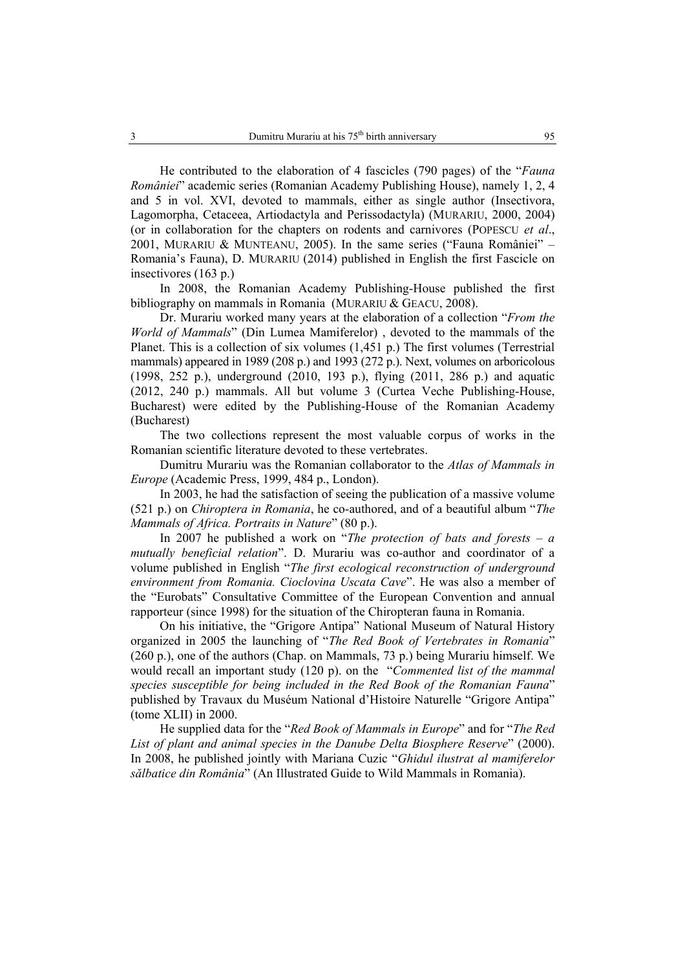He contributed to the elaboration of 4 fascicles (790 pages) of the "*Fauna României*" academic series (Romanian Academy Publishing House), namely 1, 2, 4 and 5 in vol. XVI, devoted to mammals, either as single author (Insectivora, Lagomorpha, Cetaceea, Artiodactyla and Perissodactyla) (MURARIU, 2000, 2004) (or in collaboration for the chapters on rodents and carnivores (POPESCU *et al*., 2001, MURARIU & MUNTEANU, 2005). In the same series ("Fauna României" – Romania's Fauna), D. MURARIU (2014) published in English the first Fascicle on insectivores (163 p.)

In 2008, the Romanian Academy Publishing-House published the first bibliography on mammals in Romania (MURARIU & GEACU, 2008).

Dr. Murariu worked many years at the elaboration of a collection "*From the World of Mammals*" (Din Lumea Mamiferelor) , devoted to the mammals of the Planet. This is a collection of six volumes (1,451 p.) The first volumes (Terrestrial mammals) appeared in 1989 (208 p.) and 1993 (272 p.). Next, volumes on arboricolous (1998, 252 p.), underground (2010, 193 p.), flying (2011, 286 p.) and aquatic (2012, 240 p.) mammals. All but volume 3 (Curtea Veche Publishing-House, Bucharest) were edited by the Publishing-House of the Romanian Academy (Bucharest)

The two collections represent the most valuable corpus of works in the Romanian scientific literature devoted to these vertebrates.

Dumitru Murariu was the Romanian collaborator to the *Atlas of Mammals in Europe* (Academic Press, 1999, 484 p., London).

In 2003, he had the satisfaction of seeing the publication of a massive volume (521 p.) on *Chiroptera in Romania*, he co-authored, and of a beautiful album "*The Mammals of Africa. Portraits in Nature*" (80 p.).

In 2007 he published a work on "*The protection of bats and forests – a mutually beneficial relation*". D. Murariu was co-author and coordinator of a volume published in English "*The first ecological reconstruction of underground environment from Romania. Cioclovina Uscata Cave*". He was also a member of the "Eurobats" Consultative Committee of the European Convention and annual rapporteur (since 1998) for the situation of the Chiropteran fauna in Romania.

On his initiative, the "Grigore Antipa" National Museum of Natural History organized in 2005 the launching of "*The Red Book of Vertebrates in Romania*" (260 p.), one of the authors (Chap. on Mammals, 73 p.) being Murariu himself. We would recall an important study (120 p). on the "*Commented list of the mammal species susceptible for being included in the Red Book of the Romanian Fauna*" published by Travaux du Muséum National d'Histoire Naturelle "Grigore Antipa" (tome XLII) in 2000.

He supplied data for the "*Red Book of Mammals in Europe*" and for "*The Red List of plant and animal species in the Danube Delta Biosphere Reserve*" (2000). In 2008, he published jointly with Mariana Cuzic "*Ghidul ilustrat al mamiferelor sălbatice din România*" (An Illustrated Guide to Wild Mammals in Romania).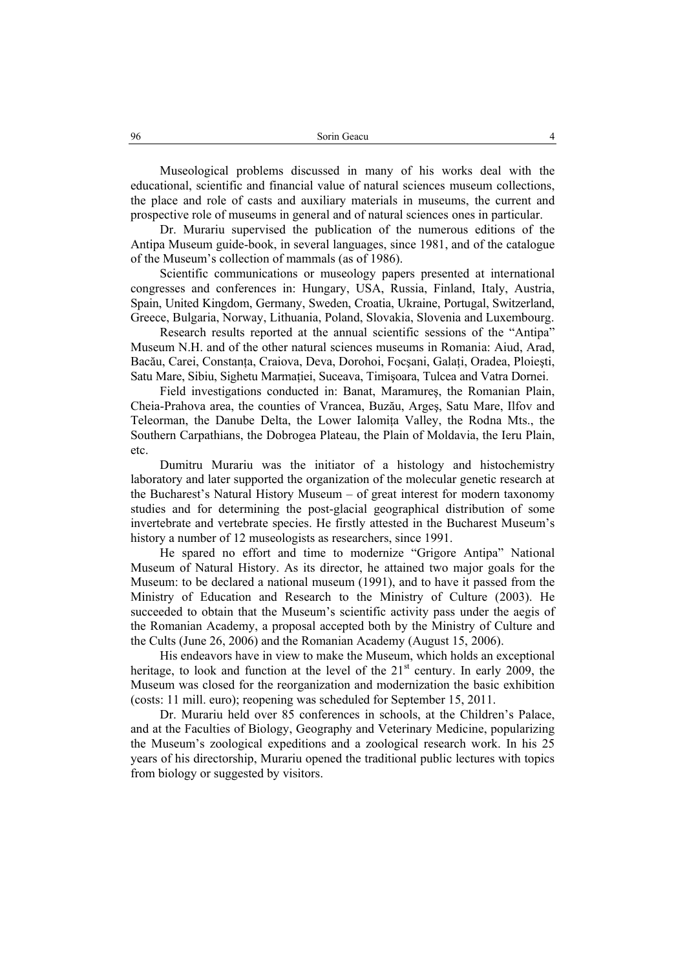Museological problems discussed in many of his works deal with the educational, scientific and financial value of natural sciences museum collections, the place and role of casts and auxiliary materials in museums, the current and prospective role of museums in general and of natural sciences ones in particular.

Dr. Murariu supervised the publication of the numerous editions of the Antipa Museum guide-book, in several languages, since 1981, and of the catalogue of the Museum's collection of mammals (as of 1986).

Scientific communications or museology papers presented at international congresses and conferences in: Hungary, USA, Russia, Finland, Italy, Austria, Spain, United Kingdom, Germany, Sweden, Croatia, Ukraine, Portugal, Switzerland, Greece, Bulgaria, Norway, Lithuania, Poland, Slovakia, Slovenia and Luxembourg.

Research results reported at the annual scientific sessions of the "Antipa" Museum N.H. and of the other natural sciences museums in Romania: Aiud, Arad, Bacău, Carei, Constanţa, Craiova, Deva, Dorohoi, Focşani, Galaţi, Oradea, Ploieşti, Satu Mare, Sibiu, Sighetu Marmaţiei, Suceava, Timişoara, Tulcea and Vatra Dornei.

Field investigations conducted in: Banat, Maramureş, the Romanian Plain, Cheia-Prahova area, the counties of Vrancea, Buzău, Argeş, Satu Mare, Ilfov and Teleorman, the Danube Delta, the Lower Ialomiţa Valley, the Rodna Mts., the Southern Carpathians, the Dobrogea Plateau, the Plain of Moldavia, the Ieru Plain, etc.

Dumitru Murariu was the initiator of a histology and histochemistry laboratory and later supported the organization of the molecular genetic research at the Bucharest's Natural History Museum – of great interest for modern taxonomy studies and for determining the post-glacial geographical distribution of some invertebrate and vertebrate species. He firstly attested in the Bucharest Museum's history a number of 12 museologists as researchers, since 1991.

He spared no effort and time to modernize "Grigore Antipa" National Museum of Natural History. As its director, he attained two major goals for the Museum: to be declared a national museum (1991), and to have it passed from the Ministry of Education and Research to the Ministry of Culture (2003). He succeeded to obtain that the Museum's scientific activity pass under the aegis of the Romanian Academy, a proposal accepted both by the Ministry of Culture and the Cults (June 26, 2006) and the Romanian Academy (August 15, 2006).

His endeavors have in view to make the Museum, which holds an exceptional heritage, to look and function at the level of the  $21<sup>st</sup>$  century. In early 2009, the Museum was closed for the reorganization and modernization the basic exhibition (costs: 11 mill. euro); reopening was scheduled for September 15, 2011.

Dr. Murariu held over 85 conferences in schools, at the Children's Palace, and at the Faculties of Biology, Geography and Veterinary Medicine, popularizing the Museum's zoological expeditions and a zoological research work. In his 25 years of his directorship, Murariu opened the traditional public lectures with topics from biology or suggested by visitors.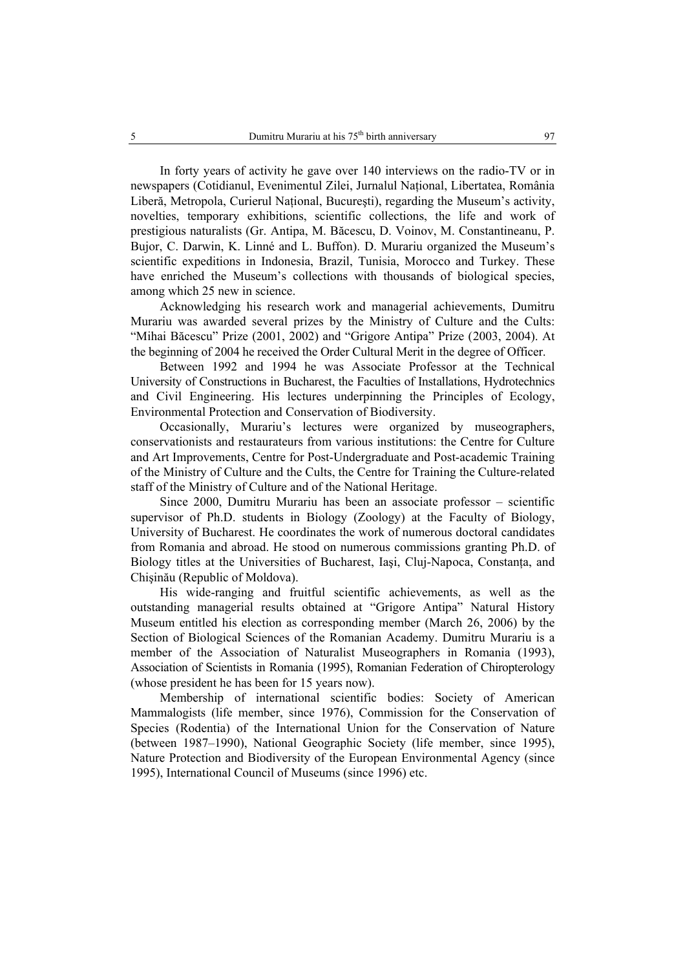In forty years of activity he gave over 140 interviews on the radio-TV or in newspapers (Cotidianul, Evenimentul Zilei, Jurnalul Naţional, Libertatea, România Liberă, Metropola, Curierul Naţional, Bucureşti), regarding the Museum's activity, novelties, temporary exhibitions, scientific collections, the life and work of prestigious naturalists (Gr. Antipa, M. Băcescu, D. Voinov, M. Constantineanu, P. Bujor, C. Darwin, K. Linné and L. Buffon). D. Murariu organized the Museum's scientific expeditions in Indonesia, Brazil, Tunisia, Morocco and Turkey. These have enriched the Museum's collections with thousands of biological species, among which 25 new in science.

Acknowledging his research work and managerial achievements, Dumitru Murariu was awarded several prizes by the Ministry of Culture and the Cults: "Mihai Băcescu" Prize (2001, 2002) and "Grigore Antipa" Prize (2003, 2004). At the beginning of 2004 he received the Order Cultural Merit in the degree of Officer.

Between 1992 and 1994 he was Associate Professor at the Technical University of Constructions in Bucharest, the Faculties of Installations, Hydrotechnics and Civil Engineering. His lectures underpinning the Principles of Ecology, Environmental Protection and Conservation of Biodiversity.

Occasionally, Murariu's lectures were organized by museographers, conservationists and restaurateurs from various institutions: the Centre for Culture and Art Improvements, Centre for Post-Undergraduate and Post-academic Training of the Ministry of Culture and the Cults, the Centre for Training the Culture-related staff of the Ministry of Culture and of the National Heritage.

Since 2000, Dumitru Murariu has been an associate professor – scientific supervisor of Ph.D. students in Biology (Zoology) at the Faculty of Biology, University of Bucharest. He coordinates the work of numerous doctoral candidates from Romania and abroad. He stood on numerous commissions granting Ph.D. of Biology titles at the Universities of Bucharest, Iasi, Cluj-Napoca, Constanta, and Chişinău (Republic of Moldova).

His wide-ranging and fruitful scientific achievements, as well as the outstanding managerial results obtained at "Grigore Antipa" Natural History Museum entitled his election as corresponding member (March 26, 2006) by the Section of Biological Sciences of the Romanian Academy. Dumitru Murariu is a member of the Association of Naturalist Museographers in Romania (1993), Association of Scientists in Romania (1995), Romanian Federation of Chiropterology (whose president he has been for 15 years now).

Membership of international scientific bodies: Society of American Mammalogists (life member, since 1976), Commission for the Conservation of Species (Rodentia) of the International Union for the Conservation of Nature (between 1987–1990), National Geographic Society (life member, since 1995), Nature Protection and Biodiversity of the European Environmental Agency (since 1995), International Council of Museums (since 1996) etc.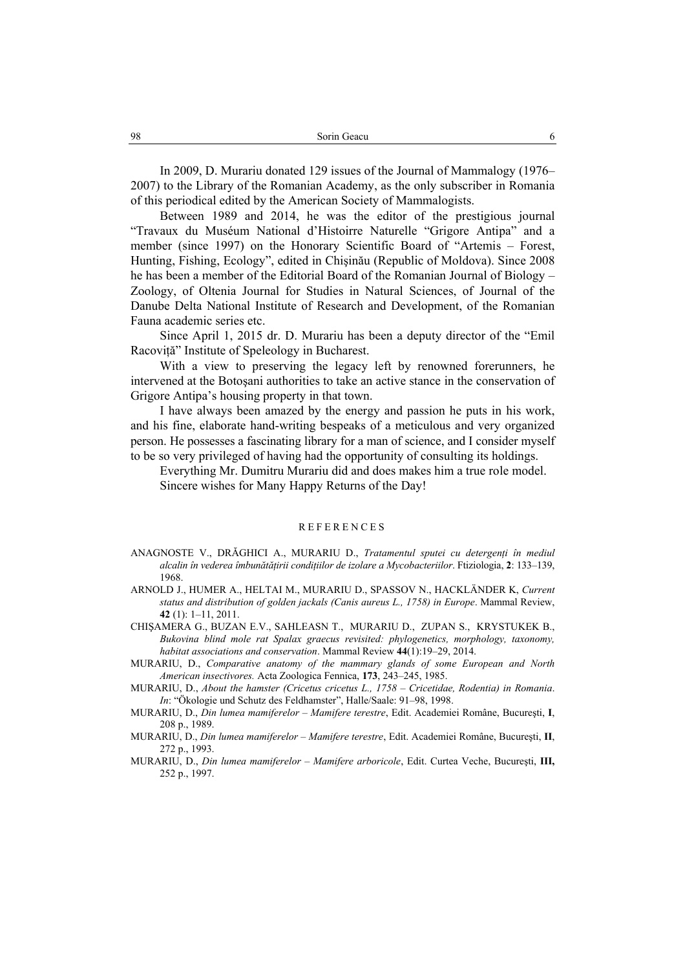In 2009, D. Murariu donated 129 issues of the Journal of Mammalogy (1976– 2007) to the Library of the Romanian Academy, as the only subscriber in Romania of this periodical edited by the American Society of Mammalogists.

Between 1989 and 2014, he was the editor of the prestigious journal "Travaux du Muséum National d'Histoirre Naturelle "Grigore Antipa" and a member (since 1997) on the Honorary Scientific Board of "Artemis – Forest, Hunting, Fishing, Ecology", edited in Chişinău (Republic of Moldova). Since 2008 he has been a member of the Editorial Board of the Romanian Journal of Biology – Zoology, of Oltenia Journal for Studies in Natural Sciences, of Journal of the Danube Delta National Institute of Research and Development, of the Romanian Fauna academic series etc.

Since April 1, 2015 dr. D. Murariu has been a deputy director of the "Emil Racoviţă" Institute of Speleology in Bucharest.

With a view to preserving the legacy left by renowned forerunners, he intervened at the Botoşani authorities to take an active stance in the conservation of Grigore Antipa's housing property in that town.

I have always been amazed by the energy and passion he puts in his work, and his fine, elaborate hand-writing bespeaks of a meticulous and very organized person. He possesses a fascinating library for a man of science, and I consider myself to be so very privileged of having had the opportunity of consulting its holdings.

Everything Mr. Dumitru Murariu did and does makes him a true role model. Sincere wishes for Many Happy Returns of the Day!

## REFERENCES

- ANAGNOSTE V., DRĂGHICI A., MURARIU D., *Tratamentul sputei cu detergenţi în mediul alcalin în vederea îmbunătăţirii condiţiilor de izolare a Mycobacteriilor*. Ftiziologia, **2**: 133–139, 1968.
- ARNOLD J., HUMER A., HELTAI M., MURARIU D., SPASSOV N., HACKLÄNDER K, *Current status and distribution of golden jackals (Canis aureus L., 1758) in Europe*. Mammal Review, **42** (1): 1–11, 2011.
- CHIŞAMERA G., BUZAN E.V., SAHLEASN T., MURARIU D., ZUPAN S., KRYSTUKEK B., *Bukovina blind mole rat Spalax graecus revisited: phylogenetics, morphology, taxonomy, habitat associations and conservation*. Mammal Review **44**(1):19–29, 2014.
- MURARIU, D., *Comparative anatomy of the mammary glands of some European and North American insectivores.* Acta Zoologica Fennica, **173**, 243–245, 1985.
- MURARIU, D., *About the hamster (Cricetus cricetus L., 1758 Cricetidae, Rodentia) in Romania*. *In*: "Ökologie und Schutz des Feldhamster", Halle/Saale: 91–98, 1998.
- MURARIU, D., *Din lumea mamiferelor Mamifere terestre*, Edit. Academiei Române, Bucureşti, **I**, 208 p., 1989.
- MURARIU, D., *Din lumea mamiferelor Mamifere terestre*, Edit. Academiei Române, Bucureşti, **II**, 272 p., 1993.
- MURARIU, D., *Din lumea mamiferelor Mamifere arboricole*, Edit. Curtea Veche, Bucureşti, **III,** 252 p., 1997.